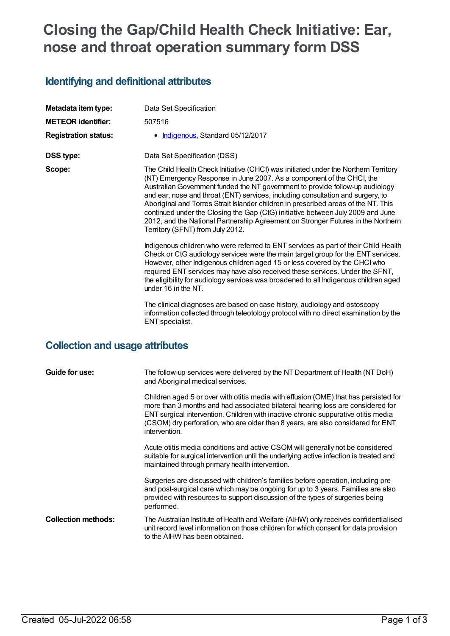# **Closing the Gap/Child Health Check Initiative: Ear, nose and throat operation summary form DSS**

## **Identifying and definitional attributes**

| Metadata item type:<br><b>METEOR identifier:</b> | Data Set Specification<br>507516                                                                                                                                                                                                                                                                                                                                                                                                                                                                                                                                                                                                  |
|--------------------------------------------------|-----------------------------------------------------------------------------------------------------------------------------------------------------------------------------------------------------------------------------------------------------------------------------------------------------------------------------------------------------------------------------------------------------------------------------------------------------------------------------------------------------------------------------------------------------------------------------------------------------------------------------------|
| <b>Registration status:</b>                      | Indigenous, Standard 05/12/2017                                                                                                                                                                                                                                                                                                                                                                                                                                                                                                                                                                                                   |
| <b>DSS type:</b>                                 | Data Set Specification (DSS)                                                                                                                                                                                                                                                                                                                                                                                                                                                                                                                                                                                                      |
| Scope:                                           | The Child Health Check Initiative (CHCI) was initiated under the Northern Territory<br>(NT) Emergency Response in June 2007. As a component of the CHCI, the<br>Australian Government funded the NT government to provide follow-up audiology<br>and ear, nose and throat (ENT) services, including consultation and surgery, to<br>Aboriginal and Torres Strait Islander children in prescribed areas of the NT. This<br>continued under the Closing the Gap (CtG) initiative between July 2009 and June<br>2012, and the National Partnership Agreement on Stronger Futures in the Northern<br>Territory (SFNT) from July 2012. |
|                                                  | Indigenous children who were referred to ENT services as part of their Child Health<br>Check or CtG audiology services were the main target group for the ENT services.<br>However, other Indigenous children aged 15 or less covered by the CHCI who<br>required ENT services may have also received these services. Under the SFNT,<br>the eligibility for audiology services was broadened to all Indigenous children aged<br>under 16 in the NT.<br>The clinical diagnoses are based on case history, audiology and ostoscopy                                                                                                 |
|                                                  | information collected through teleotology protocol with no direct examination by the<br>ENT specialist.                                                                                                                                                                                                                                                                                                                                                                                                                                                                                                                           |

# **Collection and usage attributes**

| Guide for use:             | The follow-up services were delivered by the NT Department of Health (NT DoH)<br>and Aboriginal medical services.                                                                                                                                                                                                                                                 |
|----------------------------|-------------------------------------------------------------------------------------------------------------------------------------------------------------------------------------------------------------------------------------------------------------------------------------------------------------------------------------------------------------------|
|                            | Children aged 5 or over with otitis media with effusion (OME) that has persisted for<br>more than 3 months and had associated bilateral hearing loss are considered for<br>ENT surgical intervention. Children with inactive chronic suppurative otitis media<br>(CSOM) dry perforation, who are older than 8 years, are also considered for ENT<br>intervention. |
|                            | Acute otitis media conditions and active CSOM will generally not be considered<br>suitable for surgical intervention until the underlying active infection is treated and<br>maintained through primary health intervention.                                                                                                                                      |
|                            | Surgeries are discussed with children's families before operation, including pre<br>and post-surgical care which may be ongoing for up to 3 years. Families are also<br>provided with resources to support discussion of the types of surgeries being<br>performed.                                                                                               |
| <b>Collection methods:</b> | The Australian Institute of Health and Welfare (AIHW) only receives confidentialised<br>unit record level information on those children for which consent for data provision<br>to the AIHW has been obtained.                                                                                                                                                    |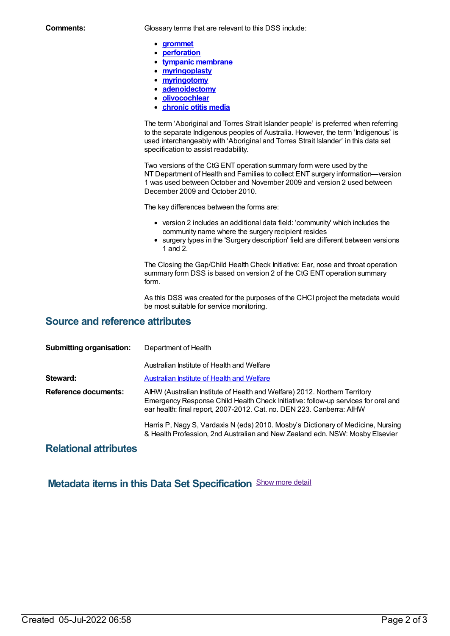**Comments:** Glossary terms that are relevant to this DSS include:

- **[grommet](https://meteor.aihw.gov.au/content/562346)**
- **[perforation](https://meteor.aihw.gov.au/content/562502)**
- **tympanic [membrane](https://meteor.aihw.gov.au/content/562107)**
- **[myringoplasty](https://meteor.aihw.gov.au/content/574902)**
- **[myringotomy](https://meteor.aihw.gov.au/content/574904)**
- **[adenoidectomy](https://meteor.aihw.gov.au/content/574908)**  $\bullet$
- **[olivocochlear](https://meteor.aihw.gov.au/content/574918)**  $\bullet$
- **[chronic](https://meteor.aihw.gov.au/content/682003) otitis media**  $\bullet$

The term 'Aboriginal and Torres Strait Islander people' is preferred when referring to the separate Indigenous peoples of Australia. However, the term 'Indigenous' is used interchangeably with 'Aboriginal and Torres Strait Islander' in this data set specification to assist readability.

Two versions of the CtG ENT operation summary form were used by the NT Department of Health and Families to collect ENT surgery information—version 1 was used betweenOctober and November 2009 and version 2 used between December 2009 and October 2010.

The key differences between the forms are:

- version 2 includes an additional data field: 'community' which includes the community name where the surgery recipient resides
- surgery types in the 'Surgery description' field are different between versions 1 and 2.

The Closing the Gap/Child Health Check Initiative: Ear, nose and throat operation summary form DSS is based on version 2 of the CtG ENT operation summary form.

As this DSS was created for the purposes of the CHCI project the metadata would be most suitable for service monitoring.

#### **Source and reference attributes**

| <b>Submitting organisation:</b> | Department of Health                                                                                                                                                                                                                     |
|---------------------------------|------------------------------------------------------------------------------------------------------------------------------------------------------------------------------------------------------------------------------------------|
|                                 | Australian Institute of Health and Welfare                                                                                                                                                                                               |
| Steward:                        | <b>Australian Institute of Health and Welfare</b>                                                                                                                                                                                        |
| <b>Reference documents:</b>     | AIHW (Australian Institute of Health and Welfare) 2012. Northern Territory<br>Emergency Response Child Health Check Initiative: follow-up services for oral and<br>ear health: final report, 2007-2012. Cat. no. DEN 223. Canberra: AIHW |
|                                 | Harris P, Nagy S, Vardaxis N (eds) 2010. Mosby's Dictionary of Medicine, Nursing<br>& Health Profession, 2nd Australian and New Zealand edn. NSW: Mosby Elsevier                                                                         |

#### **Relational attributes**

### **Metadata items in this Data Set Specification** Show more detail